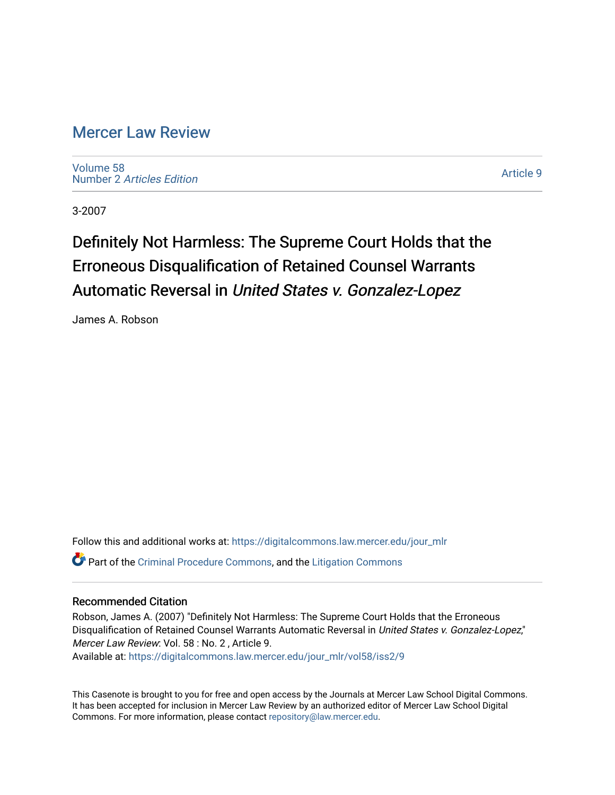### [Mercer Law Review](https://digitalcommons.law.mercer.edu/jour_mlr)

[Volume 58](https://digitalcommons.law.mercer.edu/jour_mlr/vol58) Number 2 [Articles Edition](https://digitalcommons.law.mercer.edu/jour_mlr/vol58/iss2) 

[Article 9](https://digitalcommons.law.mercer.edu/jour_mlr/vol58/iss2/9) 

3-2007

# Definitely Not Harmless: The Supreme Court Holds that the Erroneous Disqualification of Retained Counsel Warrants Automatic Reversal in United States v. Gonzalez-Lopez

James A. Robson

Follow this and additional works at: [https://digitalcommons.law.mercer.edu/jour\\_mlr](https://digitalcommons.law.mercer.edu/jour_mlr?utm_source=digitalcommons.law.mercer.edu%2Fjour_mlr%2Fvol58%2Fiss2%2F9&utm_medium=PDF&utm_campaign=PDFCoverPages) Part of the [Criminal Procedure Commons,](http://network.bepress.com/hgg/discipline/1073?utm_source=digitalcommons.law.mercer.edu%2Fjour_mlr%2Fvol58%2Fiss2%2F9&utm_medium=PDF&utm_campaign=PDFCoverPages) and the [Litigation Commons](http://network.bepress.com/hgg/discipline/910?utm_source=digitalcommons.law.mercer.edu%2Fjour_mlr%2Fvol58%2Fiss2%2F9&utm_medium=PDF&utm_campaign=PDFCoverPages) 

#### Recommended Citation

Robson, James A. (2007) "Definitely Not Harmless: The Supreme Court Holds that the Erroneous Disqualification of Retained Counsel Warrants Automatic Reversal in United States v. Gonzalez-Lopez," Mercer Law Review: Vol. 58 : No. 2 , Article 9. Available at: [https://digitalcommons.law.mercer.edu/jour\\_mlr/vol58/iss2/9](https://digitalcommons.law.mercer.edu/jour_mlr/vol58/iss2/9?utm_source=digitalcommons.law.mercer.edu%2Fjour_mlr%2Fvol58%2Fiss2%2F9&utm_medium=PDF&utm_campaign=PDFCoverPages)

This Casenote is brought to you for free and open access by the Journals at Mercer Law School Digital Commons. It has been accepted for inclusion in Mercer Law Review by an authorized editor of Mercer Law School Digital Commons. For more information, please contact [repository@law.mercer.edu.](mailto:repository@law.mercer.edu)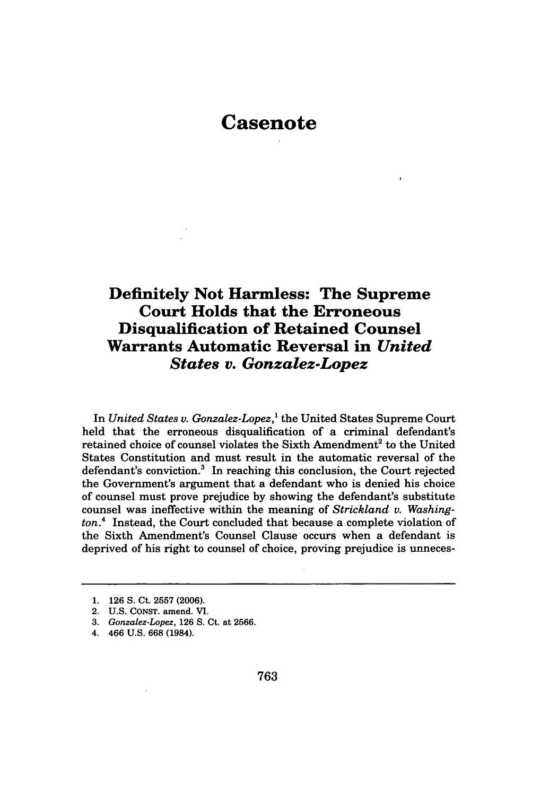## **Casenote**

### **Definitely Not Harmless: The Supreme Court Holds that the Erroneous Disqualification of Retained Counsel Warrants Automatic Reversal in** *United States v. Gonzalez-Lopez*

In *United States v. Gonzalez-Lopez,'* the United States Supreme Court held that the erroneous disqualification of a criminal defendant's retained choice of counsel violates the Sixth Amendment<sup>2</sup> to the United States Constitution and must result in the automatic reversal of the defendant's conviction.<sup>3</sup> In reaching this conclusion, the Court rejected the Government's argument that a defendant who is denied his choice of counsel must prove prejudice by showing the defendant's substitute counsel was ineffective within the meaning of *Strickland v. Washington.4* Instead, the Court concluded that because a complete violation of the Sixth Amendment's Counsel Clause occurs when a defendant is deprived of his right to counsel of choice, proving prejudice is unneces-

<sup>1. 126</sup> **S.** Ct. **2557** (2006).

<sup>2.</sup> **U.S. CONST.** amend. VI.

*<sup>3.</sup> Gonzalez-Lopez,* 126 S. Ct. at 2566.

<sup>4. 466</sup> U.S. 668 (1984).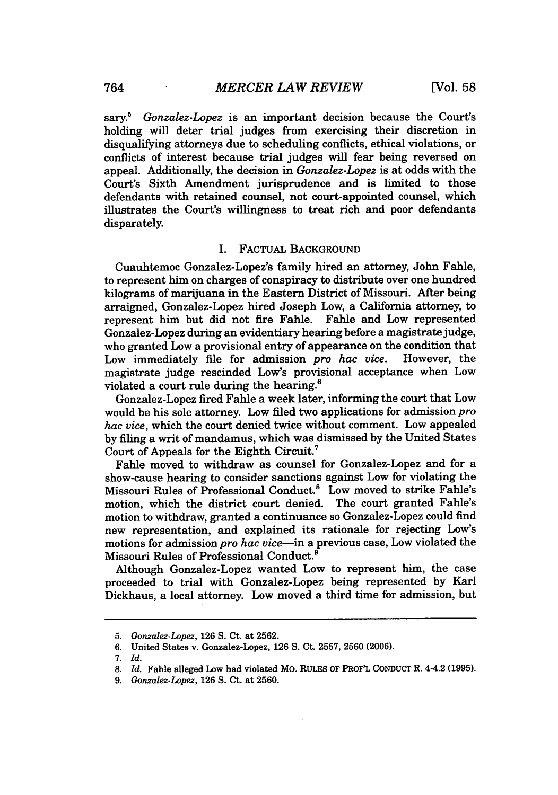sary.' *Gonzalez-Lopez* is an important decision because the Court's holding will deter trial judges from exercising their discretion in disqualifying attorneys due to scheduling conflicts, ethical violations, or conflicts of interest because trial judges will fear being reversed on appeal. Additionally, the decision in *Gonzalez-Lopez* is at odds with the Court's Sixth Amendment jurisprudence and is limited to those defendants with retained counsel, not court-appointed counsel, which illustrates the Court's willingness to treat rich and poor defendants disparately.

#### **I.** FACTUAL **BACKGROUND**

Cuauhtemoc Gonzalez-Lopez's family hired an attorney, John Fable, to represent him on charges of conspiracy to distribute over one hundred kilograms of marijuana in the Eastern District of Missouri. After being arraigned, Gonzalez-Lopez hired Joseph Low, a California attorney, to represent him but did not fire Fahle. Fahle and Low represented Gonzalez-Lopez during an evidentiary hearing before a magistrate judge, who granted Low a provisional entry of appearance on the condition that<br>Low immediately file for admission *pro hac vice*. However, the Low immediately file for admission *pro hac vice*. magistrate judge rescinded Low's provisional acceptance when Low violated a court rule during the hearing.6

Gonzalez-Lopez fired Fahle a week later, informing the court that Low would be his sole attorney. Low filed two applications for admission *pro hac vice,* which the court denied twice without comment. Low appealed **by** filing a writ of mandamus, which was dismissed **by** the United States Court of Appeals for the Eighth Circuit. <sup>7</sup>

Fahle moved to withdraw as counsel for Gonzalez-Lopez and for a show-cause hearing to consider sanctions against Low for violating the Missouri Rules of Professional Conduct.8 Low moved to strike Fahle's motion, which the district court denied. The court granted Fahle's motion to withdraw, granted a continuance so Gonzalez-Lopez could find new representation, and explained its rationale for rejecting Low's motions for admission *pro hac vice-in* a previous case, Low violated the Missouri Rules of Professional Conduct.9

Although Gonzalez-Lopez wanted Low to represent him, the case proceeded to trial with Gonzalez-Lopez being represented **by** Karl Dickhaus, a local attorney. Low moved a third time for admission, but

**<sup>5.</sup>** *Gonzalez-Lopez,* **126 S.** Ct. at **2562.**

**<sup>6.</sup>** United States v. Gonzalez-Lopez, **126 S.** Ct. **2557, 2560 (2006).**

<sup>7.</sup> *Id.*

*<sup>8.</sup> Id.* Fahle alleged Low had violated MO. RULES OF PROF'L CONDUCT R. 4-4.2 (1995).

*<sup>9.</sup> Gonzalez-Lopez,* 126 S. Ct. at 2560.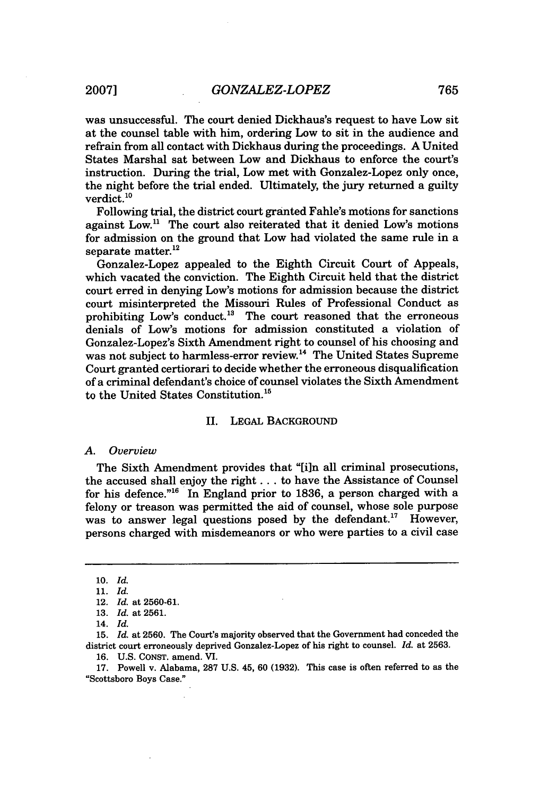was unsuccessful. The court denied Dickhaus's request to have Low sit at the counsel table with him, ordering Low to sit in the audience and refrain from all contact with Dickhaus during the proceedings. A United States Marshal sat between Low and Dickhaus to enforce the court's instruction. During the trial, Low met with Gonzalez-Lopez only once, the night before the trial ended. Ultimately, the jury returned a guilty verdict.<sup>10</sup>

Following trial, the district court granted Fahle's motions for sanctions against Low.<sup>11</sup> The court also reiterated that it denied Low's motions for admission on the ground that Low had violated the same rule in a separate matter.<sup>12</sup>

Gonzalez-Lopez appealed to the Eighth Circuit Court of Appeals, which vacated the conviction. The Eighth Circuit held that the district court erred in denying Low's motions for admission because the district court misinterpreted the Missouri Rules of Professional Conduct as prohibiting Low's conduct.<sup>13</sup> The court reasoned that the erroneous denials of Low's motions for admission constituted a violation of Gonzalez-Lopez's Sixth Amendment right to counsel of his choosing and was not subject to harmless-error review.<sup>14</sup> The United States Supreme Court granted certiorari to decide whether the erroneous disqualification of a criminal defendant's choice of counsel violates the Sixth Amendment to the United States Constitution.<sup>15</sup>

#### II. **LEGAL BACKGROUND**

#### *A. Overview*

The Sixth Amendment provides that "[i]n all criminal prosecutions, the accused shall enjoy the right **...** to have the Assistance of Counsel for his defence." 6 In England prior to **1836,** a person charged with a felony or treason was permitted the aid of counsel, whose sole purpose was to answer legal questions posed by the defendant.<sup>17</sup> However, persons charged with misdemeanors or who were parties to a civil case

<sup>10.</sup> *Id.*

<sup>11.</sup> *Id.*

<sup>12.</sup> *Id.* at 2560-61.

<sup>13.</sup> *Id.* at 2561.

<sup>14.</sup> *Id.*

<sup>15.</sup> *Id.* at 2560. The Court's majority observed that the Government had conceded the district court erroneously deprived Gonzalez-Lopez of his right to counsel. *Id.* at 2563.

<sup>16.</sup> U.S. CONST. amend. **VI.**

<sup>17.</sup> Powell v. Alabama, 287 U.S. 45, 60 (1932). This case is often referred to as the "Scottsboro Boys Case."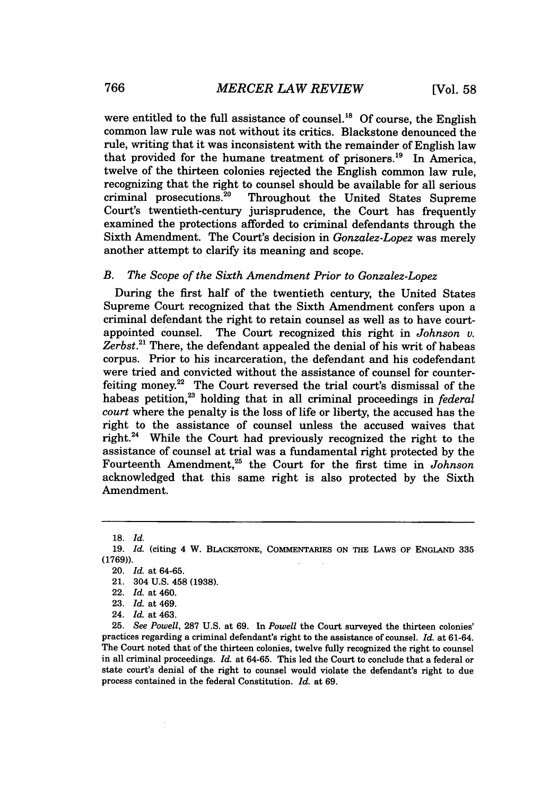were entitled to the full assistance of counsel.<sup>18</sup> Of course, the English common law rule was not without its critics. Blackstone denounced the rule, writing that it was inconsistent with the remainder of English law that provided for the humane treatment of prisoners.<sup>19</sup> In America, twelve of the thirteen colonies rejected the English common law rule, recognizing that the right to counsel should be available for all serious criminal prosecutions.<sup>20</sup> Throughout the United States Supreme Throughout the United States Supreme Court's twentieth-century jurisprudence, the Court has frequently examined the protections afforded to criminal defendants through the Sixth Amendment. The Court's decision in *Gonzalez-Lopez* was merely another attempt to clarify its meaning and scope.

#### *B. The Scope of the Sixth Amendment Prior to Gonzalez-Lopez*

During the first half of the twentieth century, the United States Supreme Court recognized that the Sixth Amendment confers upon a criminal defendant the right to retain counsel as well as to have courtappointed counsel. The Court recognized this right in *Johnson v.* Zerbst.<sup>21</sup> There, the defendant appealed the denial of his writ of habeas corpus. Prior to his incarceration, the defendant and his codefendant were tried and convicted without the assistance of counsel for counterfeiting money.<sup>22</sup> The Court reversed the trial court's dismissal of the habeas petition,<sup>23</sup> holding that in all criminal proceedings in *federal court* where the penalty is the loss of life or liberty, the accused has the right to the assistance of counsel unless the accused waives that right.<sup>24</sup> While the Court had previously recognized the right to the assistance of counsel at trial was a fundamental right protected by the Fourteenth Amendment,<sup>25</sup> the Court for the first time in *Johnson* acknowledged that this same right is also protected by the Sixth Amendment.

**<sup>18.</sup>** *Id.*

**<sup>19.</sup>** *Id.* (citing 4 W. BLACKSTONE, **COMMENTARIES ON** THE LAWS OF **ENGLAND 335** (1769)).

<sup>20.</sup> *Id.* at 64-65.

<sup>21. 304</sup> U.S. 458 (1938).

<sup>22.</sup> *Id.* at 460.

<sup>23.</sup> *Id.* at 469.

<sup>24.</sup> *Id.* at 463.

<sup>25.</sup> *See Powell,* **287 U.S.** at **69.** In *Powell* the Court surveyed the thirteen colonies' practices regarding a criminal defendant's right to the assistance of counsel. *Id.* at 61-64. The Court noted that of the thirteen colonies, twelve fully recognized the right to counsel in all criminal proceedings. *Id.* at 64-65. This led the Court to conclude that a federal or state court's denial of the right to counsel would violate the defendant's right to due process contained in the federal Constitution. *Id.* at 69.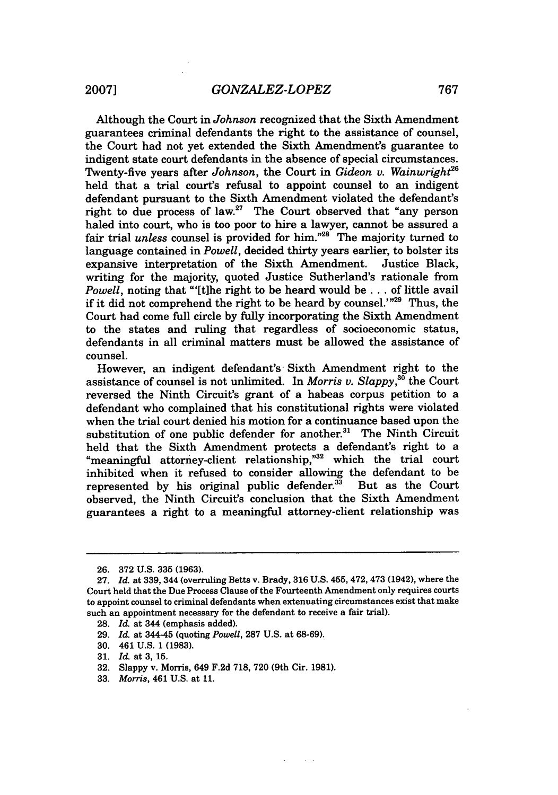Although the Court in *Johnson* recognized that the Sixth Amendment guarantees criminal defendants the right to the assistance of counsel, the Court had not yet extended the Sixth Amendment's guarantee to indigent state court defendants in the absence of special circumstances. Twenty-five years after *Johnson*, the Court in *Gideon v. Wainwright*<sup>26</sup> held that a trial court's refusal to appoint counsel to an indigent defendant pursuant to the Sixth Amendment violated the defendant's right to due process of law.<sup>27</sup> The Court observed that "any person" haled into court, who is too poor to hire a lawyer, cannot be assured a fair trial *unless* counsel is provided for him."28 The majority turned to language contained in *Powell,* decided thirty years earlier, to bolster its expansive interpretation of the Sixth Amendment. Justice Black, writing for the majority, quoted Justice Sutherland's rationale from *Powell,* noting that "'[t]he right to be heard would be **...** of little avail if it did not comprehend the right to be heard by counsel.'"<sup>29</sup> Thus, the Court had come full circle by fully incorporating the Sixth Amendment to the states and ruling that regardless of socioeconomic status, defendants in all criminal matters must be allowed the assistance of counsel.

However, an indigent defendant's- Sixth Amendment right to the assistance of counsel is not unlimited. In *Morris v. Slappy, °* the Court reversed the Ninth Circuit's grant of a habeas corpus petition to a defendant who complained that his constitutional rights were violated when the trial court denied his motion for a continuance based upon the substitution of one public defender for another.<sup>31</sup> The Ninth Circuit held that the Sixth Amendment protects a defendant's right to a "meaningful attorney-client relationship," $32$  which the trial court inhibited when it refused to consider allowing the defendant to be represented by his original public defender.<sup>33</sup> But as the Court represented by his original public defender. $33$ observed, the Ninth Circuit's conclusion that the Sixth Amendment guarantees a right to a meaningful attorney-client relationship was

<sup>26. 372</sup> U.S. 335 (1963).

<sup>27.</sup> *Id.* at 339, 344 (overruling Betts v. Brady, 316 U.S. 455, 472,473 (1942), where the Court held that the Due Process Clause of the Fourteenth Amendment only requires courts to appoint counsel to criminal defendants when extenuating circumstances exist that make such an appointment necessary for the defendant to receive a fair trial).

<sup>28.</sup> *Id.* at 344 (emphasis added).

<sup>29.</sup> *Id.* at 344-45 (quoting *Powell,* 287 U.S. at 68-69).

<sup>30. 461</sup> U.S. 1 (1983).

<sup>31.</sup> *Id.* at 3, 15.

<sup>32.</sup> Slappy v. Morris, 649 F.2d 718, 720 (9th Cir. 1981).

<sup>33.</sup> *Morris,* 461 U.S. at 11.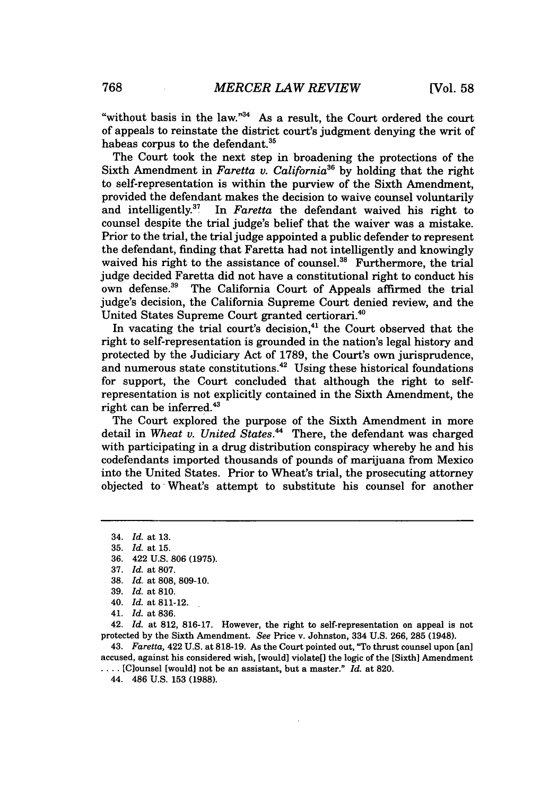"without basis in the law." $34$  As a result, the Court ordered the court of appeals to reinstate the district court's judgment denying the writ of habeas corpus to the defendant.<sup>35</sup>

The Court took the next step in broadening the protections of the Sixth Amendment in *Faretta v. California*<sup>36</sup> by holding that the right to self-representation is within the purview of the Sixth Amendment, provided the defendant makes the decision to waive counsel voluntarily<br>and intelligently.<sup>37</sup> In *Faretta* the defendant waived his right to In *Faretta* the defendant waived his right to counsel despite the trial judge's belief that the waiver was a mistake. Prior to the trial, the trial judge appointed a public defender to represent the defendant, finding that Faretta had not intelligently and knowingly waived his right to the assistance of counsel.<sup>38</sup> Furthermore, the trial judge decided Faretta did not have a constitutional right to conduct his own defense.<sup>39</sup> The California Court of Appeals affirmed the trial judge's decision, the California Supreme Court denied review, and the United States Supreme Court granted certiorari.<sup>40</sup>

In vacating the trial court's decision,<sup>41</sup> the Court observed that the right to self-representation is grounded in the nation's legal history and protected by the Judiciary Act of 1789, the Court's own jurisprudence, and numerous state constitutions.<sup>42</sup> Using these historical foundations for support, the Court concluded that although the right to selfrepresentation is not explicitly contained in the Sixth Amendment, the right can be inferred.43

The Court explored the purpose of the Sixth Amendment in more detail in *Wheat v. United States."* There, the defendant was charged with participating in a drug distribution conspiracy whereby he and his codefendants imported thousands of pounds of marijuana from Mexico into the United States. Prior to Wheat's trial, the prosecuting attorney objected to Wheat's attempt to substitute his counsel for another

40. *Id.* at 811-12.

42. *Id.* at 812, 816-17. However, the right to self-representation on appeal is not protected by the Sixth Amendment. *See* Price v. Johnston, 334 U.S. 266, 285 (1948).

43. *Faretta,* 422 U.S. at 818-19. As the Court pointed out, "To thrust counsel upon [an] accused, against his considered wish, [would] violate[] the logic of the [Sixth] Amendment .... [Clounsel [would] not be an assistant, but a master." *Id.* at 820.

44. 486 U.S. 153 (1988).

<sup>34.</sup> *Id.* at 13.

<sup>35.</sup> *Id.* at 15.

<sup>36. 422</sup> U.S. 806 (1975).

<sup>37.</sup> *Id.* at 807.

<sup>38.</sup> *Id.* at 808, 809-10.

<sup>39.</sup> *Id.* at 810.

<sup>41.</sup> *Id.* at 836.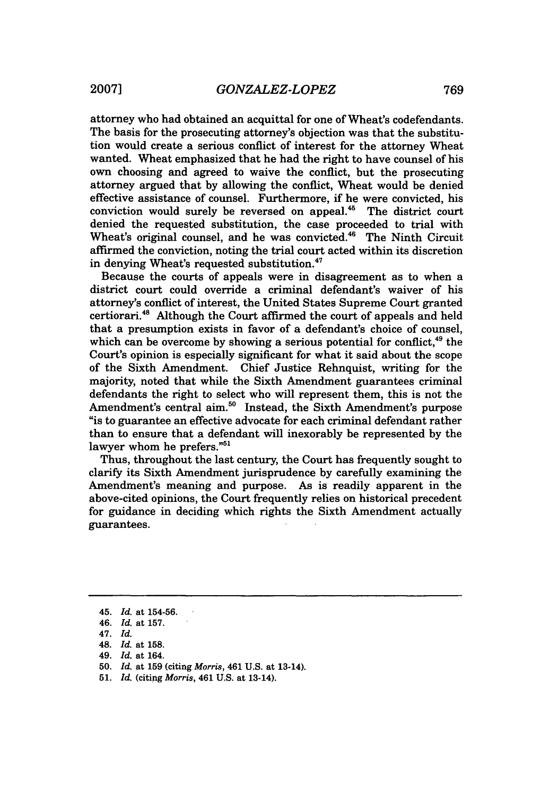attorney who had obtained an acquittal for one of Wheat's codefendants. The basis for the prosecuting attorney's objection was that the substitution would create a serious conflict of interest for the attorney Wheat wanted. Wheat emphasized that he had the right to have counsel of his own choosing and agreed to waive the conflict, but the prosecuting attorney argued that by allowing the conflict, Wheat would be denied effective assistance of counsel. Furthermore, if he were convicted, his conviction would surely be reversed on appeal.<sup>45</sup> The district court denied the requested substitution, the case proceeded to trial with Wheat's original counsel, and he was convicted.<sup>46</sup> The Ninth Circuit affirmed the conviction, noting the trial court acted within its discretion in denying Wheat's requested substitution.<sup>47</sup>

Because the courts of appeals were in disagreement as to when a district court could override a criminal defendant's waiver of his attorney's conflict of interest, the United States Supreme Court granted certiorari.<sup>48</sup> Although the Court affirmed the court of appeals and held that a presumption exists in favor of a defendant's choice of counsel, which can be overcome by showing a serious potential for conflict.<sup>49</sup> the Court's opinion is especially significant for what it said about the scope of the Sixth Amendment. Chief Justice Rehnquist, writing for the majority, noted that while the Sixth Amendment guarantees criminal defendants the right to select who will represent them, this is not the Amendment's central aim.<sup>50</sup> Instead, the Sixth Amendment's purpose "is to guarantee an effective advocate for each criminal defendant rather than to ensure that a defendant will inexorably be represented by the lawyer whom he prefers."<sup>51</sup>

Thus, throughout the last century, the Court has frequently sought to clarify its Sixth Amendment jurisprudence by carefully examining the Amendment's meaning and purpose. As is readily apparent in the above-cited opinions, the Court frequently relies on historical precedent for guidance in deciding which rights the Sixth Amendment actually guarantees.

<sup>45.</sup> *Id.* at **154-56.**

<sup>46.</sup> *Id.* at **157.**

<sup>47.</sup> *Id.*

<sup>48.</sup> *Id.* at 158.

<sup>49.</sup> *Id.* at 164.

<sup>50.</sup> *Id.* at **159** (citing *Morris,* 461 U.S. at 13-14).

<sup>51.</sup> *Id.* (citing *Morris,* 461 U.S. at 13-14).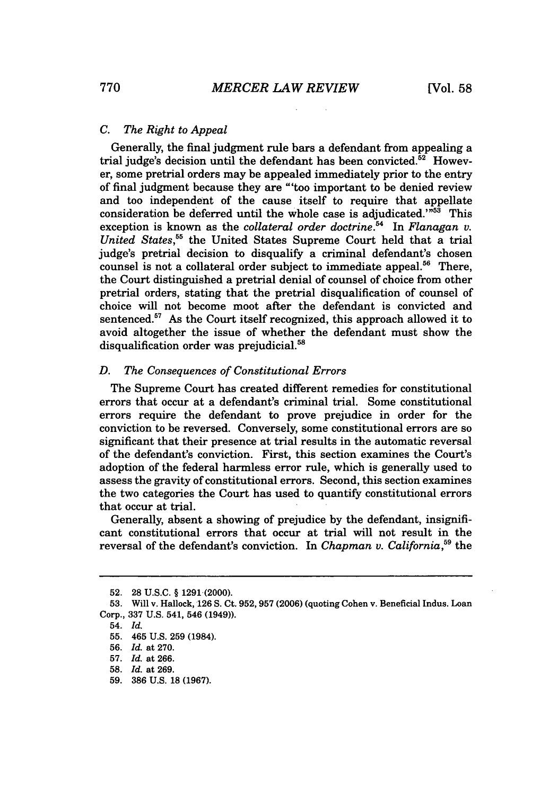#### *C. The Right to Appeal*

Generally, the final judgment rule bars a defendant from appealing a trial judge's decision until the defendant has been convicted.<sup>52</sup> However, some pretrial orders may be appealed immediately prior to the entry of final judgment because they are "'too important to be denied review and too independent of the cause itself to require that appellate consideration be deferred until the whole case is adjudicated. $^{1753}$  This exception is known as the *collateral order doctrine*.<sup>54</sup> In *Flanagan v. United States,55* the United States Supreme Court held that a trial judge's pretrial decision to disqualify a criminal defendant's chosen counsel is not a collateral order subject to immediate appeal.<sup>56</sup> There, the Court distinguished a pretrial denial of counsel of choice from other pretrial orders, stating that the pretrial disqualification of counsel of choice will not become moot after the defendant is convicted and sentenced.<sup>57</sup> As the Court itself recognized, this approach allowed it to avoid altogether the issue of whether the defendant must show the disqualification order was prejudicial.<sup>58</sup>

#### *D. The Consequences of Constitutional Errors*

The Supreme Court has created different remedies for constitutional errors that occur at a defendant's criminal trial. Some constitutional errors require the defendant to prove prejudice in order for the conviction to be reversed. Conversely, some constitutional errors are so significant that their presence at trial results in the automatic reversal of the defendant's conviction. First, this section examines the Court's adoption of the federal harmless error rule, which is generally used to assess the gravity of constitutional errors. Second, this section examines the two categories the Court has used to quantify constitutional errors that occur at trial.

Generally, absent a showing of prejudice by the defendant, insignificant constitutional errors that occur at trial will not result in the reversal of the defendant's conviction. In *Chapman v. California*,<sup>59</sup> the

<sup>52. 28</sup> U.S.C. § 1291.(2000).

<sup>53.</sup> Will v. Hallock, 126 S. Ct. 952,957 (2006) (quoting Cohen v. Beneficial Indus. Loan Corp., 337 U.S. 541, 546 (1949)).

<sup>54.</sup> *Id.*

<sup>55. 465</sup> U.S. 259 (1984).

<sup>56.</sup> *Id.* at 270.

<sup>57.</sup> *Id.* at 266.

<sup>58.</sup> *Id.* at 269.

<sup>59. 386</sup> U.S. 18 (1967).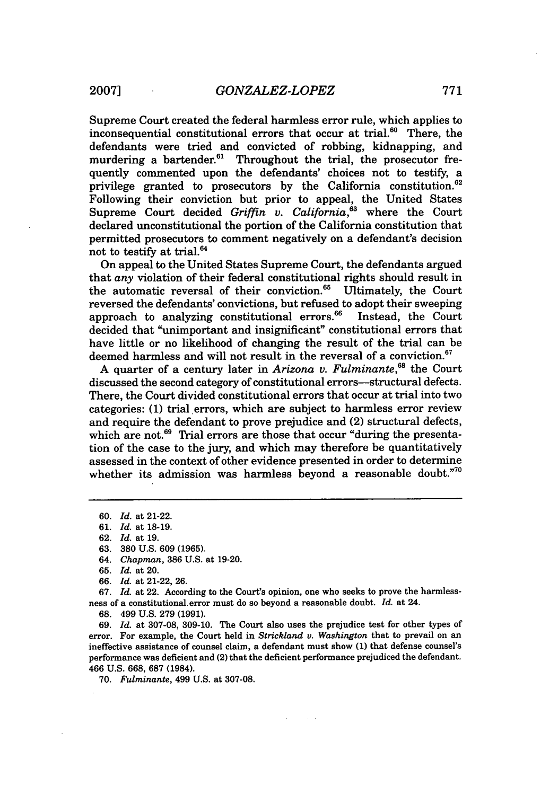Supreme Court created the federal harmless error rule, which applies to inconsequential constitutional errors that occur at trial.<sup>60</sup> There, the defendants were tried and convicted of robbing, kidnapping, and murdering a bartender. $61$  Throughout the trial, the prosecutor frequently commented upon the defendants' choices not to testify, a privilege granted to prosecutors by the California constitution.<sup>62</sup> Following their conviction but prior to appeal, the United States Supreme Court decided *Griffin v. California*,<sup>63</sup> where the Court declared unconstitutional the portion of the California constitution that permitted prosecutors to comment negatively on a defendant's decision not to testify at trial.<sup>64</sup>

On appeal to the United States Supreme Court, the defendants argued that *any* violation of their federal constitutional rights should result in the automatic reversal of their conviction.<sup>65</sup> Ultimately, the Court reversed the defendants' convictions, but refused to adopt their sweeping approach to analyzing constitutional errors.<sup>66</sup> Instead, the Court decided that "unimportant and insignificant" constitutional errors that have little or no likelihood of changing the result of the trial can be deemed harmless and will not result in the reversal of a conviction.<sup>67</sup>

A quarter of a century later in *Arizona v. Fulminante*.<sup>68</sup> the Court discussed the second category of constitutional errors-structural defects. There, the Court divided constitutional errors that occur at trial into two categories: (1) trial errors, which are subject to harmless error review and require the defendant to prove prejudice and (2) structural defects, which are not.<sup>69</sup> Trial errors are those that occur "during the presentation of the case to the jury, and which may therefore be quantitatively assessed in the context of other evidence presented in order to determine whether its admission was harmless beyond a reasonable doubt."<sup>70</sup>

**67.** *Id.* at 22. According to the Court's opinion, one who seeks to prove the harmlessness of a constitutional error must do so beyond a reasonable doubt. *Id.* at 24.

68. 499 U.S. 279 (1991).

69. *Id.* at 307-08, 309-10. The Court also uses the prejudice test for other types of error. For example, the Court held in *Strickland v. Washington* that to prevail on an ineffective assistance of counsel claim, a defendant must show **(1)** that defense counsel's performance was deficient and (2) that the deficient performance prejudiced the defendant. 466 U.S. 668, 687 (1984).

70. *Fulminante,* 499 U.S. at 307-08.

<sup>60.</sup> *Id.* at 21-22.

<sup>61.</sup> *Id.* at 18-19.

<sup>62.</sup> *Id.* at 19.

<sup>63. 380</sup> U.S. 609 (1965).

<sup>64.</sup> *Chapman,* 386 U.S. at 19-20.

<sup>65.</sup> *Id.* at 20.

<sup>66.</sup> *Id.* at 21-22, 26.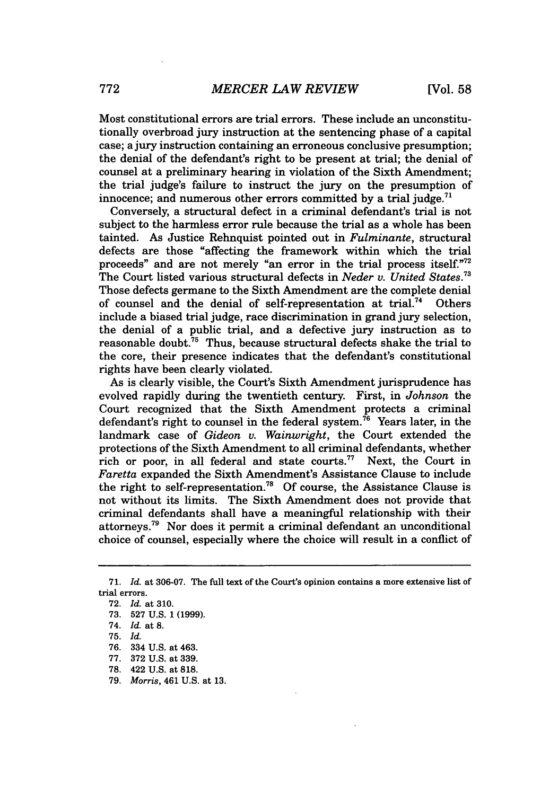Most constitutional errors are trial errors. These include an unconstitutionally overbroad jury instruction at the sentencing phase of a capital case; a jury instruction containing an erroneous conclusive presumption; the denial of the defendant's right to be present at trial; the denial of counsel at a preliminary hearing in violation of the Sixth Amendment; the trial judge's failure to instruct the jury on the presumption of innocence; and numerous other errors committed by a trial judge.<sup>71</sup>

Conversely, a structural defect in a criminal defendant's trial is not subject to the harmless error rule because the trial as a whole has been tainted. As Justice Rehnquist pointed out in *Fulminante,* structural defects are those "affecting the framework within which the trial proceeds" and are not merely "an error in the trial process itself."72 The Court listed various structural defects in *Neder v. United States.73* Those defects germane to the Sixth Amendment are the complete denial of counsel and the denial of self-representation at trial.<sup>74</sup> Others include a biased trial judge, race discrimination in grand jury selection, the denial of a public trial, and a defective jury instruction as to reasonable doubt.75 Thus, because structural defects shake the trial to the core, their presence indicates that the defendant's constitutional rights have been clearly violated.

As is clearly visible, the Court's Sixth Amendment jurisprudence has evolved rapidly during the twentieth century. First, in *Johnson* the Court recognized that the Sixth Amendment protects a criminal defendant's right to counsel in the federal system.<sup>76</sup> Years later, in the landmark case of *Gideon* v. *Wainwright,* the Court extended the protections of the Sixth Amendment to all criminal defendants, whether rich or poor, in all federal and state courts.<sup>77</sup> Next, the Court in *Faretta* expanded the Sixth Amendment's Assistance Clause to include the right to self-representation.<sup>78</sup> Of course, the Assistance Clause is not without its limits. The Sixth Amendment does not provide that criminal defendants shall have a meaningful relationship with their attorneys.79 Nor does it permit a criminal defendant an unconditional choice of counsel, especially where the choice will result in a conflict of

76. 334 U.S. at 463.

<sup>71.</sup> *Id.* at 306-07. The full text of the Court's opinion contains a more extensive list of trial errors.

<sup>72.</sup> *Id.* at 310.

<sup>73. 527</sup> U.S. 1 (1999).

<sup>74.</sup> *Id.* at 8.

<sup>75.</sup> *Id.*

<sup>77. 372</sup> U.S. at 339.

<sup>78. 422</sup> U.S. at 818.

<sup>79.</sup> *Morris,* 461 U.S. at 13.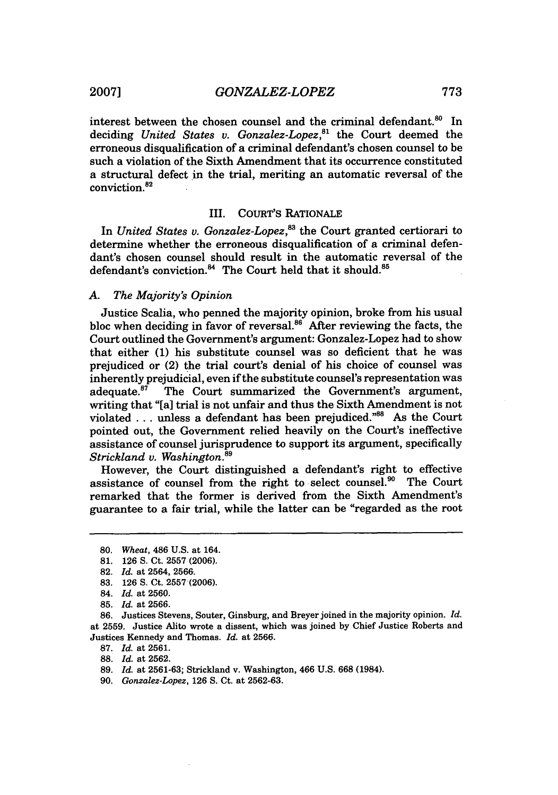interest between the chosen counsel and the criminal defendant.<sup>80</sup> In deciding *United States v. Gonzalez-Lopez,"'* the Court deemed the erroneous disqualification of a criminal defendant's chosen counsel to be such a violation of the Sixth Amendment that its occurrence constituted a structural defect in the trial, meriting an automatic reversal of the conviction.<sup>82</sup>

#### III. COURT'S RATIONALE

In *United States* v. *Gonzalez-Lopez, <sup>3</sup>*the Court granted certiorari to determine whether the erroneous disqualification of a criminal defendant's chosen counsel should result in the automatic reversal of the defendant's conviction.<sup>84</sup> The Court held that it should.<sup>85</sup>

#### *A. The Majority's Opinion*

Justice Scalia, who penned the majority opinion, broke from his usual bloc when deciding in favor of reversal. $86$  After reviewing the facts, the Court outlined the Government's argument: Gonzalez-Lopez had to show that either **(1)** his substitute counsel was so deficient that he was prejudiced or (2) the trial court's denial of his choice of counsel was inherently prejudicial, even if the substitute counsel's representation was adequate. $87$  The Court summarized the Government's argument, writing that "[a] trial is not unfair and thus the Sixth Amendment is not violated ... unless a defendant has been prejudiced."<sup>88</sup> As the Court pointed out, the Government relied heavily on the Court's ineffective assistance of counsel jurisprudence to support its argument, specifically *Strickland v. Washington.8 <sup>9</sup>*

However, the Court distinguished a defendant's right to effective assistance of counsel from the right to select counsel.<sup>90</sup> The Court remarked that the former is derived from the Sixth Amendment's guarantee to a fair trial, while the latter can be "regarded as the root

**87.** *Id.* at **2561.**

**88.** *Id.* at **2562.**

**90.** *Gonzalez-Lopez,* **126 S.** Ct. at **2562-63.**

**<sup>80.</sup>** *Wheat,* 486 **U.S.** at 164.

**<sup>81. 126</sup> S.** Ct. **2557 (2006).**

**<sup>82.</sup>** *Id.* at 2564, **2566.**

**<sup>83. 126</sup> S.** Ct. **2557 (2006).**

<sup>84.</sup> *Id.* at **2560.**

**<sup>85.</sup>** *Id.* at **2566.**

**<sup>86.</sup>** Justices Stevens, Souter, Ginsburg, and Breyer joined in the majority opinion. *Id.* at **2559.** Justice Alito wrote a dissent, which was joined **by** Chief Justice Roberts and Justices Kennedy and Thomas. *Id.* at **2566.**

**<sup>89.</sup>** *Id.* at **2561-63;** Strickland v. Washington, 466 **U.S. 668** (1984).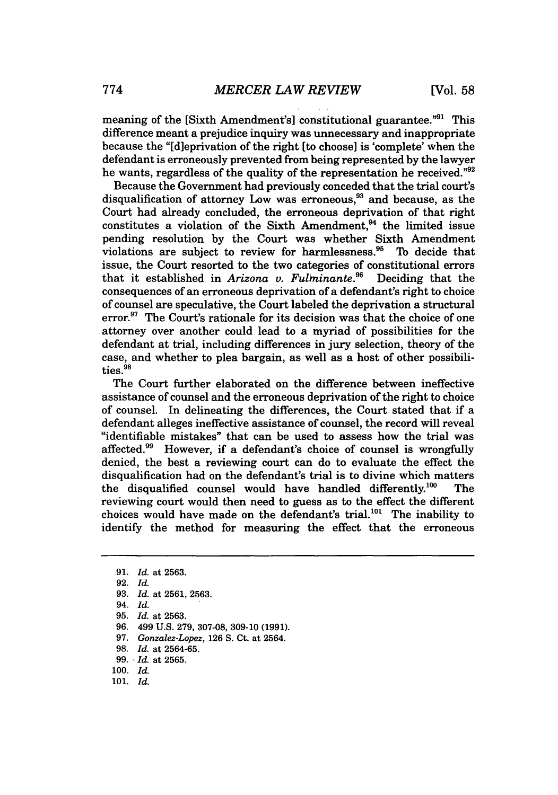meaning of the [Sixth Amendment's] constitutional guarantee."<sup>91</sup> This difference meant a prejudice inquiry was unnecessary and inappropriate because the "[dieprivation of the right [to choose] is 'complete' when the defendant is erroneously prevented from being represented by the lawyer he wants, regardless of the quality of the representation he received."92

Because the Government had previously conceded that the trial court's disqualification of attorney Low was erroneous, $^{93}$  and because, as the Court had already concluded, the erroneous deprivation of that right constitutes a violation of the Sixth Amendment.<sup>94</sup> the limited issue pending resolution by the Court was whether Sixth Amendment violations are subject to review for harmlessness.<sup>95</sup> To decide that issue, the Court resorted to the two categories of constitutional errors that it established in Arizona v. Fulminante.<sup>96</sup> Deciding that the that it established in *Arizona v. Fulminante.*<sup>96</sup> consequences of an erroneous deprivation of a defendant's right to choice of counsel are speculative, the Court labeled the deprivation a structural error. $97$  The Court's rationale for its decision was that the choice of one attorney over another could lead to a myriad of possibilities for the defendant at trial, including differences in jury selection, theory of the case, and whether to plea bargain, as well as a host of other possibilities.<sup>98</sup>

The Court further elaborated on the difference between ineffective assistance of counsel and the erroneous deprivation of the right to choice of counsel. In delineating the differences, the Court stated that if a defendant alleges ineffective assistance of counsel, the record will reveal "identifiable mistakes" that can be used to assess how the trial was affected.<sup>99</sup> However, if a defendant's choice of counsel is wrongfully denied, the best a reviewing court can do to evaluate the effect the disqualification had on the defendant's trial is to divine which matters the disqualified counsel would have handled differently.100 The reviewing court would then need to guess as to the effect the different choices would have made on the defendant's trial.<sup>101</sup> The inability to identify the method for measuring the effect that the erroneous

- 97. *Gonzalez-Lopez,* 126 S. Ct. at 2564.
- 98. *Id.* at 2564-65.

- 100. *Id.*
- 101. *Id.*

<sup>91.</sup> *Id.* at 2563.

<sup>92.</sup> *Id.*

<sup>93.</sup> *Id.* at 2561, 2563.

<sup>94.</sup> *Id.*

<sup>95.</sup> *Id.* at 2563.

<sup>96. 499</sup> U.S. 279, 307-08, 309-10 (1991).

<sup>99.</sup> - *Id.* at 2565.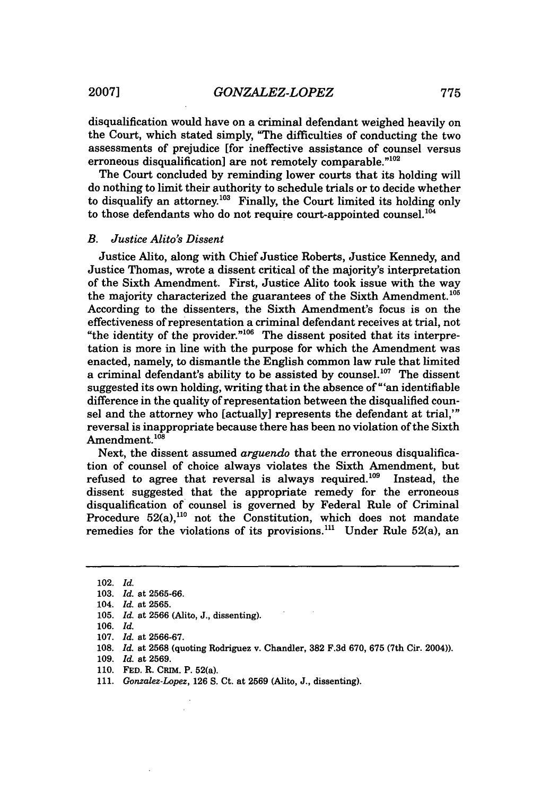disqualification would have on a criminal defendant weighed heavily on the Court, which stated simply, "The difficulties of conducting the two assessments of prejudice [for ineffective assistance of counsel versus erroneous disqualification] are not remotely comparable."<sup>102</sup>

The Court concluded by reminding lower courts that its holding will do nothing to limit their authority to schedule trials or to decide whether to disqualify an attorney.<sup>103</sup> Finally, the Court limited its holding only to those defendants who do not require court-appointed counsel.<sup>10</sup>

#### *B. Justice Alito's Dissent*

Justice Alito, along with Chief Justice Roberts, Justice Kennedy, and Justice Thomas, wrote a dissent critical of the majority's interpretation of the Sixth Amendment. First, Justice Alito took issue with the way the majority characterized the guarantees of the Sixth Amendment.<sup>105</sup> According to the dissenters, the Sixth Amendment's focus is on the effectiveness of representation a criminal defendant receives at trial, not "the identity of the provider."<sup>106</sup> The dissent posited that its interpretation is more in line with the purpose for which the Amendment was enacted, namely, to dismantle the English common law rule that limited a criminal defendant's ability to be assisted by counsel.<sup>107</sup> The dissent suggested its own holding, writing that in the absence of " ' an identifiable difference in the quality of representation between the disqualified counsel and the attorney who [actually] represents the defendant at trial,"' reversal is inappropriate because there has been no violation of the Sixth Amendment.<sup>108</sup>

Next, the dissent assumed *arguendo* that the erroneous disqualification of counsel of choice always violates the Sixth Amendment, but refused to agree that reversal is always required. $109$  Instead, the dissent suggested that the appropriate remedy for the erroneous disqualification of counsel is governed by Federal Rule of Criminal Procedure 52(a),<sup>110</sup> not the Constitution, which does not mandate remedies for the violations of its provisions.<sup>111</sup> Under Rule 52(a), an

<sup>102.</sup> *Id.*

<sup>103.</sup> *Id.* at 2565-66.

<sup>104.</sup> *Id.* at 2565.

<sup>105.</sup> *Id.* at 2566 (Alito, J., dissenting).

<sup>106.</sup> *Id.*

<sup>107.</sup> *Id.* at 2566-67.

<sup>108.</sup> *Id.* at 2568 (quoting Rodriguez v. Chandler, **382** F.3d 670, 675 (7th Cir. 2004)).

<sup>109.</sup> *Id.* at 2569.

**<sup>110.</sup>** FED. R. CRiM. P. 52(a).

<sup>111.</sup> *Gonzalez-Lopez,* 126 S. Ct. at 2569 (Alito, J., dissenting).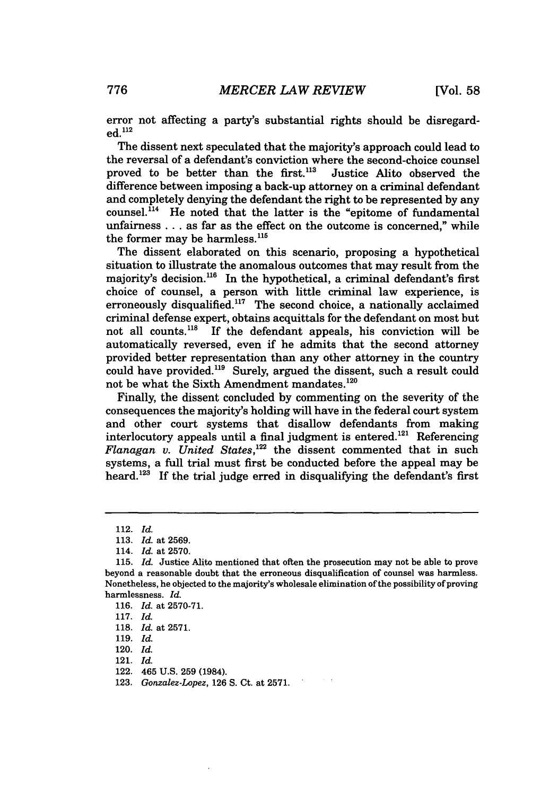error not affecting a party's substantial rights should be disregarded. 112

The dissent next speculated that the majority's approach could lead to the reversal of a defendant's conviction where the second-choice counsel proved to be better than the first.<sup>113</sup> Justice Alito observed the difference between imposing a back-up attorney on a criminal defendant and completely denying the defendant the right to be represented by any counsel. $^{114}$  He noted that the latter is the "epitome of fundamental unfairness . **..** as far as the effect on the outcome is concerned," while the former may be harmless.<sup>115</sup>

The dissent elaborated on this scenario, proposing a hypothetical situation to illustrate the anomalous outcomes that may result from the maiority's decision.<sup>116</sup> In the hypothetical, a criminal defendant's first choice of counsel, a person with little criminal law experience, is erroneously disqualified.<sup>117</sup> The second choice, a nationally acclaimed criminal defense expert, obtains acquittals for the defendant on most but not all counts.<sup>118</sup> If the defendant appeals, his conviction will be automatically reversed, even if he admits that the second attorney provided better representation than any other attorney in the country could have provided.<sup>119</sup> Surely, argued the dissent, such a result could not be what the Sixth Amendment mandates.<sup>120</sup>

Finally, the dissent concluded by commenting on the severity of the consequences the majority's holding will have in the federal court system and other court systems that disallow defendants from making interlocutory appeals until a final judgment is entered.<sup>121</sup> Referencing *Flanagan v. United States*,<sup>122</sup> the dissent commented that in such systems, a full trial must first be conducted before the appeal may be heard. $123$  If the trial judge erred in disqualifying the defendant's first

118. *Id.* at 2571.

<sup>112.</sup> *Id.*

<sup>113.</sup> *Id.* at 2569.

<sup>114.</sup> *Id.* at 2570.

<sup>115.</sup> *Id.* Justice Aito mentioned that often the prosecution may not be able to prove beyond a reasonable doubt that the erroneous disqualification of counsel was harmless. Nonetheless, he objected to the majority's wholesale elimination of the possibility of proving harmlessness. *Id.*

<sup>116.</sup> *Id.* at **2570-71.**

<sup>117.</sup> *Id.*

<sup>119.</sup> *Id.*

<sup>120.</sup> *Id.*

<sup>121.</sup> *Id.*

<sup>122. 465</sup> U.S. 259 (1984).

<sup>123.</sup> *Gonzalez-Lopez,* 126 **S.** Ct. at 2571.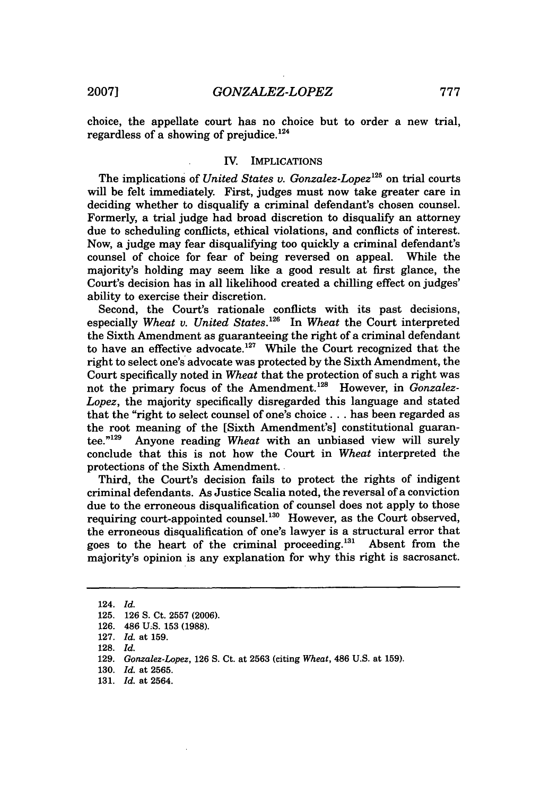choice, the appellate court has no choice but to order a new trial, regardless of a showing of prejudice. $124$ 

#### IV. IMPLICATIONS

The implications of *United States v. Gonzalez-Lopez125* on trial courts will be felt immediately. First, judges must now take greater care in deciding whether to disqualify a criminal defendant's chosen counsel. Formerly, a trial judge had broad discretion to disqualify an attorney due to scheduling conflicts, ethical violations, and conflicts of interest. Now, a judge may fear disqualifying too quickly a criminal defendant's counsel of choice for fear of being reversed on appeal. majority's holding may seem like a good result at first glance, the Court's decision has in all likelihood created a chilling effect on judges' ability to exercise their discretion.

Second, the Court's rationale conflicts with its past decisions, especially *Wheat v. United States.*<sup>126</sup> In *Wheat the Court interpreted* the Sixth Amendment as guaranteeing the right of a criminal defendant to have an effective advocate.<sup>127</sup> While the Court recognized that the right to select one's advocate was protected by the Sixth Amendment, the Court specifically noted in *Wheat* that the protection of such a right was not the primary focus of the Amendment.<sup>128</sup> However, in *Gonzalez*-*Lopez,* the majority specifically disregarded this language and stated that the "right to select counsel of one's choice **...** has been regarded as the root meaning of the [Sixth Amendment's] constitutional guaran $tee.$ " Anyone reading *Wheat* with an unbiased view will surely conclude that this is not how the Court in *Wheat* interpreted the protections of the Sixth Amendment.

Third, the Court's decision fails to protect the rights of indigent criminal defendants. As Justice Scalia noted, the reversal of a conviction due to the erroneous disqualification of counsel does not apply to those requiring court-appointed counsel.<sup>130</sup> However, as the Court observed, the erroneous disqualification of one's lawyer is a structural error that goes to the heart of the criminal proceeding.'' Absent from the majority's opinion is any explanation for why this right is sacrosanct.

<sup>124.</sup> *Id.*

<sup>125. 126</sup> S. Ct. 2557 (2006).

<sup>126. 486</sup> **U;S.** 153 (1988).

<sup>127.</sup> *Id.* at 159.

<sup>128.</sup> *Id.*

<sup>129.</sup> *Gonzalez-Lopez,* 126 S. Ct. at 2563 (citing *Wheat,* 486 U.S. at 159).

<sup>130.</sup> *Id.* at 2565.

<sup>131.</sup> *Id.* at 2564.